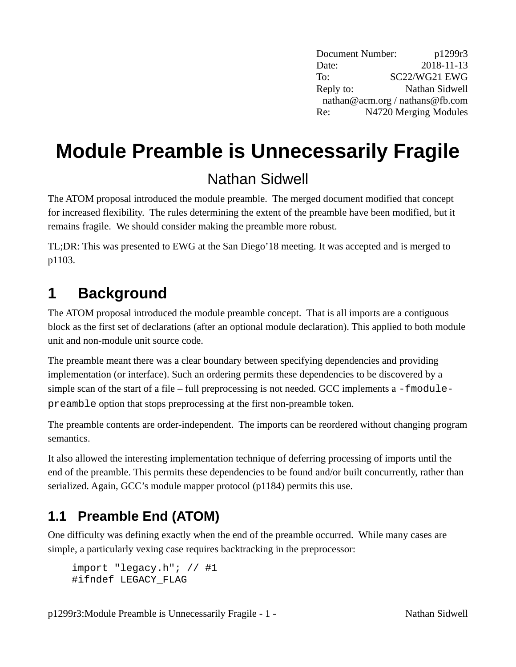Document Number: p1299r3 Date: 2018-11-13 To: SC22/WG21 EWG Reply to: Nathan Sidwell nathan@acm.org / nathans@fb.com Re: N4720 Merging Modules

# **Module Preamble is Unnecessarily Fragile**

#### Nathan Sidwell

The ATOM proposal introduced the module preamble. The merged document modified that concept for increased flexibility. The rules determining the extent of the preamble have been modified, but it remains fragile. We should consider making the preamble more robust.

TL;DR: This was presented to EWG at the San Diego'18 meeting. It was accepted and is merged to p1103.

## **1 Background**

The ATOM proposal introduced the module preamble concept. That is all imports are a contiguous block as the first set of declarations (after an optional module declaration). This applied to both module unit and non-module unit source code.

The preamble meant there was a clear boundary between specifying dependencies and providing implementation (or interface). Such an ordering permits these dependencies to be discovered by a simple scan of the start of a file – full preprocessing is not needed. GCC implements a - fmodule preamble option that stops preprocessing at the first non-preamble token.

The preamble contents are order-independent. The imports can be reordered without changing program semantics.

It also allowed the interesting implementation technique of deferring processing of imports until the end of the preamble. This permits these dependencies to be found and/or built concurrently, rather than serialized. Again, GCC's module mapper protocol (p1184) permits this use.

### <span id="page-0-0"></span>**1.1 Preamble End (ATOM)**

One difficulty was defining exactly when the end of the preamble occurred. While many cases are simple, a particularly vexing case requires backtracking in the preprocessor:

```
import "legacy.h"; \frac{1}{41}#ifndef LEGACY_FLAG
```
p1299r3: Module Preamble is Unnecessarily Fragile - 1 - Nathan Sidwell by Nathan Sidwell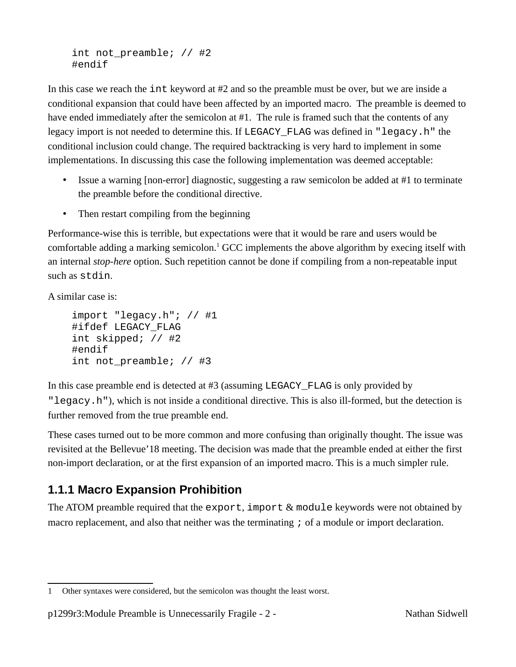int not preamble;  $//$  #2 #endif

In this case we reach the int keyword at #2 and so the preamble must be over, but we are inside a conditional expansion that could have been affected by an imported macro. The preamble is deemed to have ended immediately after the semicolon at #1. The rule is framed such that the contents of any legacy import is not needed to determine this. If LEGACY\_FLAG was defined in "legacy.h" the conditional inclusion could change. The required backtracking is very hard to implement in some implementations. In discussing this case the following implementation was deemed acceptable:

- Issue a warning [non-error] diagnostic, suggesting a raw semicolon be added at #1 to terminate the preamble before the conditional directive.
- Then restart compiling from the beginning

Performance-wise this is terrible, but expectations were that it would be rare and users would be comfortable adding a marking semicolon.<sup>[1](#page-1-0)</sup> GCC implements the above algorithm by execing itself with an internal *stop-here* option. Such repetition cannot be done if compiling from a non-repeatable input such as stdin.

A similar case is:

```
import "legacy.h"; // #1
#ifdef LEGACY_FLAG
int skipped; // #2
#endif
int not_preamble; // #3
```
In this case preamble end is detected at #3 (assuming LEGACY\_FLAG is only provided by "legacy.h"), which is not inside a conditional directive. This is also ill-formed, but the detection is further removed from the true preamble end.

These cases turned out to be more common and more confusing than originally thought. The issue was revisited at the Bellevue'18 meeting. The decision was made that the preamble ended at either the first non-import declaration, or at the first expansion of an imported macro. This is a much simpler rule.

#### **1.1.1 Macro Expansion Prohibition**

The ATOM preamble required that the export, import & module keywords were not obtained by macro replacement, and also that neither was the terminating ; of a module or import declaration.

<span id="page-1-0"></span><sup>1</sup> Other syntaxes were considered, but the semicolon was thought the least worst.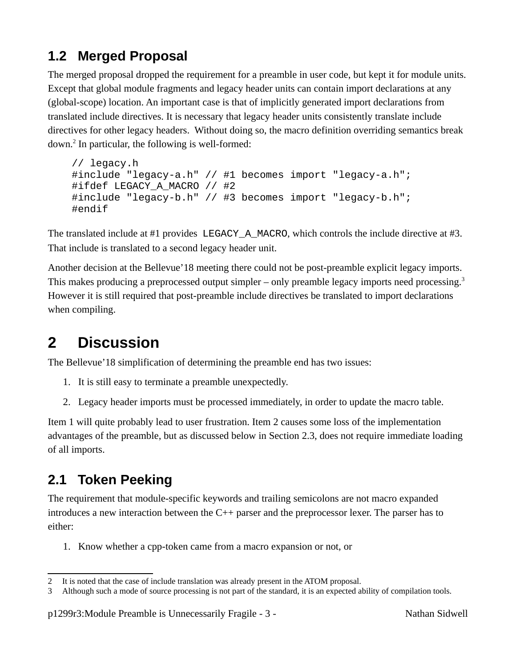#### **1.2 Merged Proposal**

The merged proposal dropped the requirement for a preamble in user code, but kept it for module units. Except that global module fragments and legacy header units can contain import declarations at any (global-scope) location. An important case is that of implicitly generated import declarations from translated include directives. It is necessary that legacy header units consistently translate include directives for other legacy headers. Without doing so, the macro definition overriding semantics break down.<sup>[2](#page-2-2)</sup> In particular, the following is well-formed:

```
// legacy.h
#include "legacy-a.h" // #1 becomes import "legacy-a.h";
#ifdef LEGACY A MACRO // #2
#include "legacy-b.h" // #3 becomes import "legacy-b.h";
#endif
```
The translated include at #1 provides LEGACY\_A\_MACRO, which controls the include directive at #3. That include is translated to a second legacy header unit.

Another decision at the Bellevue'18 meeting there could not be post-preamble explicit legacy imports. This makes producing a preprocessed output simpler – only preamble legacy imports need processing.<sup>[3](#page-2-3)</sup> However it is still required that post-preamble include directives be translated to import declarations when compiling.

## **2 Discussion**

The Bellevue'18 simplification of determining the preamble end has two issues:

- <span id="page-2-0"></span>1. It is still easy to terminate a preamble unexpectedly.
- <span id="page-2-1"></span>2. Legacy header imports must be processed immediately, in order to update the macro table.

Item [1](#page-2-0) will quite probably lead to user frustration. Item [2](#page-2-1) causes some loss of the implementation advantages of the preamble, but as discussed below in Section [2.3](#page-3-0), does not require immediate loading of all imports.

#### **2.1 Token Peeking**

The requirement that module-specific keywords and trailing semicolons are not macro expanded introduces a new interaction between the C++ parser and the preprocessor lexer. The parser has to either:

1. Know whether a cpp-token came from a macro expansion or not, or

<span id="page-2-2"></span><sup>2</sup> It is noted that the case of include translation was already present in the ATOM proposal.

<span id="page-2-3"></span><sup>3</sup> Although such a mode of source processing is not part of the standard, it is an expected ability of compilation tools.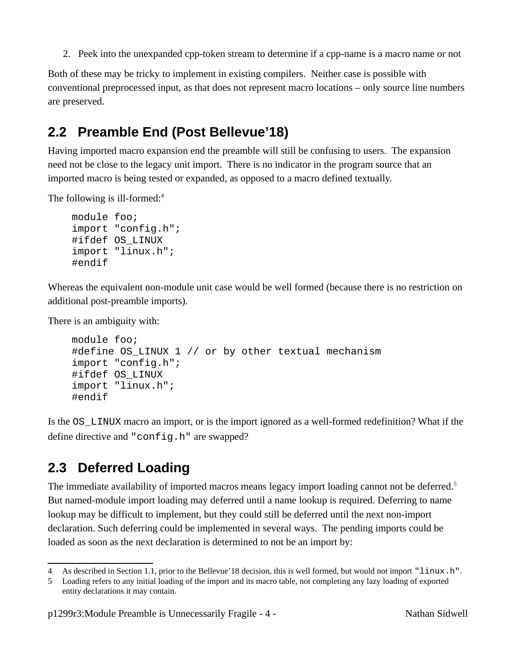2. Peek into the unexpanded cpp-token stream to determine if a cpp-name is a macro name or not

Both of these may be tricky to implement in existing compilers. Neither case is possible with conventional preprocessed input, as that does not represent macro locations – only source line numbers are preserved.

#### <span id="page-3-3"></span>**2.2 Preamble End (Post Bellevue'18)**

Having imported macro expansion end the preamble will still be confusing to users. The expansion need not be close to the legacy unit import. There is no indicator in the program source that an imported macro is being tested or expanded, as opposed to a macro defined textually.

The following is ill-formed:<sup>[4](#page-3-1)</sup>

```
module foo;
import "config.h";
#ifdef OS_LINUX
import "linux.h";
#endif
```
Whereas the equivalent non-module unit case would be well formed (because there is no restriction on additional post-preamble imports).

There is an ambiguity with:

```
module foo;
#define OS LINUX 1 // or by other textual mechanism
import "config.h";
#ifdef OS_LINUX
import "linux.h";
#endif
```
Is the OS\_LINUX macro an import, or is the import ignored as a well-formed redefinition? What if the define directive and "config.h" are swapped?

#### <span id="page-3-0"></span>**2.3 Deferred Loading**

The immediate availability of imported macros means legacy import loading cannot not be deferred.<sup>[5](#page-3-2)</sup> But named-module import loading may deferred until a name lookup is required. Deferring to name lookup may be difficult to implement, but they could still be deferred until the next non-import declaration. Such deferring could be implemented in several ways. The pending imports could be loaded as soon as the next declaration is determined to not be an import by:

<span id="page-3-1"></span><sup>4</sup> As described in Section [1.1](#page-0-0), prior to the Bellevue'18 decision, this is well formed, but would not import "linux.h".

<span id="page-3-2"></span><sup>5</sup> Loading refers to any initial loading of the import and its macro table, not completing any lazy loading of exported entity declarations it may contain.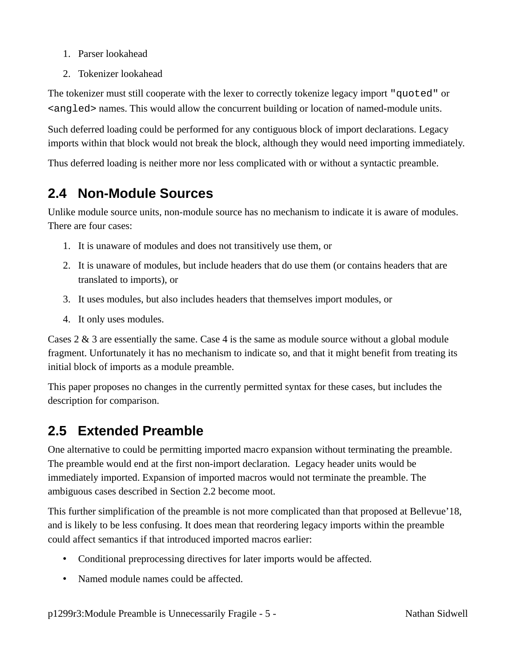- 1. Parser lookahead
- 2. Tokenizer lookahead

The tokenizer must still cooperate with the lexer to correctly tokenize legacy import "quoted" or <angled> names. This would allow the concurrent building or location of named-module units.

Such deferred loading could be performed for any contiguous block of import declarations. Legacy imports within that block would not break the block, although they would need importing immediately.

Thus deferred loading is neither more nor less complicated with or without a syntactic preamble.

#### **2.4 Non-Module Sources**

Unlike module source units, non-module source has no mechanism to indicate it is aware of modules. There are four cases:

- 1. It is unaware of modules and does not transitively use them, or
- <span id="page-4-2"></span>2. It is unaware of modules, but include headers that do use them (or contains headers that are translated to imports), or
- <span id="page-4-1"></span>3. It uses modules, but also includes headers that themselves import modules, or
- <span id="page-4-0"></span>4. It only uses modules.

Cases [2](#page-4-2) & [3](#page-4-1) are essentially the same. Case [4](#page-4-0) is the same as module source without a global module fragment. Unfortunately it has no mechanism to indicate so, and that it might benefit from treating its initial block of imports as a module preamble.

This paper proposes no changes in the currently permitted syntax for these cases, but includes the description for comparison.

#### <span id="page-4-3"></span>**2.5 Extended Preamble**

One alternative to could be permitting imported macro expansion without terminating the preamble. The preamble would end at the first non-import declaration. Legacy header units would be immediately imported. Expansion of imported macros would not terminate the preamble. The ambiguous cases described in Section [2.2](#page-3-3) become moot.

This further simplification of the preamble is not more complicated than that proposed at Bellevue'18, and is likely to be less confusing. It does mean that reordering legacy imports within the preamble could affect semantics if that introduced imported macros earlier:

- Conditional preprocessing directives for later imports would be affected.
- Named module names could be affected.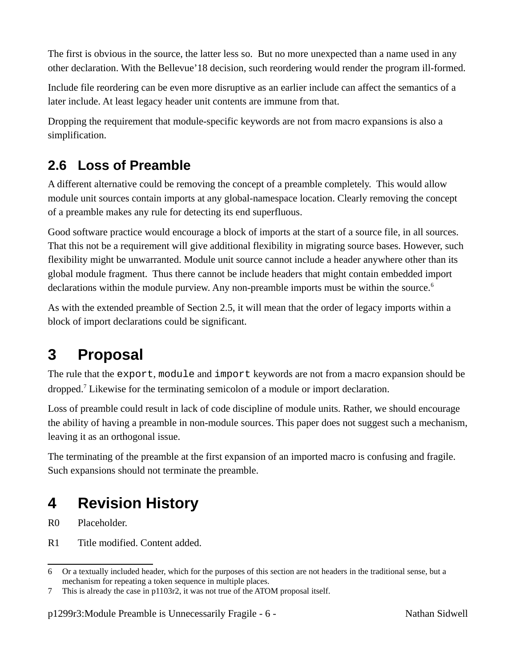The first is obvious in the source, the latter less so. But no more unexpected than a name used in any other declaration. With the Bellevue'18 decision, such reordering would render the program ill-formed.

Include file reordering can be even more disruptive as an earlier include can affect the semantics of a later include. At least legacy header unit contents are immune from that.

Dropping the requirement that module-specific keywords are not from macro expansions is also a simplification.

#### **2.6 Loss of Preamble**

A different alternative could be removing the concept of a preamble completely. This would allow module unit sources contain imports at any global-namespace location. Clearly removing the concept of a preamble makes any rule for detecting its end superfluous.

Good software practice would encourage a block of imports at the start of a source file, in all sources. That this not be a requirement will give additional flexibility in migrating source bases. However, such flexibility might be unwarranted. Module unit source cannot include a header anywhere other than its global module fragment. Thus there cannot be include headers that might contain embedded import declarations within the module purview. Any non-preamble imports must be within the source.<sup>[6](#page-5-0)</sup>

As with the extended preamble of Section [2.5](#page-4-3), it will mean that the order of legacy imports within a block of import declarations could be significant.

## **3 Proposal**

The rule that the export, module and import keywords are not from a macro expansion should be dropped.<sup>[7](#page-5-1)</sup> Likewise for the terminating semicolon of a module or import declaration.

Loss of preamble could result in lack of code discipline of module units. Rather, we should encourage the ability of having a preamble in non-module sources. This paper does not suggest such a mechanism, leaving it as an orthogonal issue.

The terminating of the preamble at the first expansion of an imported macro is confusing and fragile. Such expansions should not terminate the preamble.

## **4 Revision History**

R0 Placeholder.

R1 Title modified. Content added.

p1299r3: Module Preamble is Unnecessarily Fragile - 6 - Nathan Sidwell and Sidwell

<span id="page-5-0"></span><sup>6</sup> Or a textually included header, which for the purposes of this section are not headers in the traditional sense, but a mechanism for repeating a token sequence in multiple places.

<span id="page-5-1"></span><sup>7</sup> This is already the case in p1103r2, it was not true of the ATOM proposal itself.